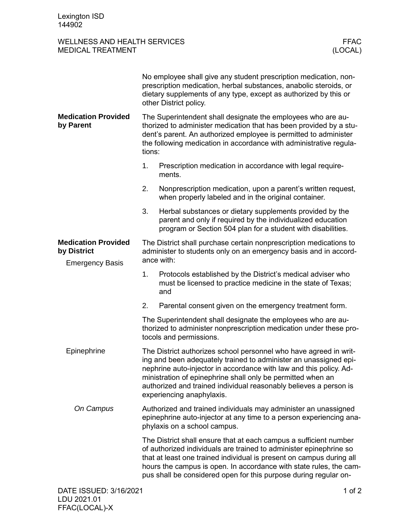FFAC(LOCAL)-X

## WELLNESS AND HEALTH SERVICES FFAC MEDICAL TREATMENT

|                                                                     | No employee shall give any student prescription medication, non-<br>prescription medication, herbal substances, anabolic steroids, or<br>dietary supplements of any type, except as authorized by this or<br>other District policy.                                                                                                                                          |                                                                                                                                                                                         |          |
|---------------------------------------------------------------------|------------------------------------------------------------------------------------------------------------------------------------------------------------------------------------------------------------------------------------------------------------------------------------------------------------------------------------------------------------------------------|-----------------------------------------------------------------------------------------------------------------------------------------------------------------------------------------|----------|
| <b>Medication Provided</b><br>by Parent                             | The Superintendent shall designate the employees who are au-<br>thorized to administer medication that has been provided by a stu-<br>dent's parent. An authorized employee is permitted to administer<br>the following medication in accordance with administrative regula-<br>tions:                                                                                       |                                                                                                                                                                                         |          |
|                                                                     | 1.                                                                                                                                                                                                                                                                                                                                                                           | Prescription medication in accordance with legal require-<br>ments.                                                                                                                     |          |
|                                                                     | 2.                                                                                                                                                                                                                                                                                                                                                                           | Nonprescription medication, upon a parent's written request,<br>when properly labeled and in the original container.                                                                    |          |
|                                                                     | 3.                                                                                                                                                                                                                                                                                                                                                                           | Herbal substances or dietary supplements provided by the<br>parent and only if required by the individualized education<br>program or Section 504 plan for a student with disabilities. |          |
| <b>Medication Provided</b><br>by District<br><b>Emergency Basis</b> | The District shall purchase certain nonprescription medications to<br>administer to students only on an emergency basis and in accord-<br>ance with:                                                                                                                                                                                                                         |                                                                                                                                                                                         |          |
|                                                                     | 1.                                                                                                                                                                                                                                                                                                                                                                           | Protocols established by the District's medical adviser who<br>must be licensed to practice medicine in the state of Texas;<br>and                                                      |          |
|                                                                     | 2.                                                                                                                                                                                                                                                                                                                                                                           | Parental consent given on the emergency treatment form.                                                                                                                                 |          |
|                                                                     | The Superintendent shall designate the employees who are au-<br>thorized to administer nonprescription medication under these pro-<br>tocols and permissions.                                                                                                                                                                                                                |                                                                                                                                                                                         |          |
| Epinephrine                                                         | The District authorizes school personnel who have agreed in writ-<br>ing and been adequately trained to administer an unassigned epi-<br>nephrine auto-injector in accordance with law and this policy. Ad-<br>ministration of epinephrine shall only be permitted when an<br>authorized and trained individual reasonably believes a person is<br>experiencing anaphylaxis. |                                                                                                                                                                                         |          |
| On Campus                                                           | Authorized and trained individuals may administer an unassigned<br>epinephrine auto-injector at any time to a person experiencing ana-<br>phylaxis on a school campus.                                                                                                                                                                                                       |                                                                                                                                                                                         |          |
|                                                                     | The District shall ensure that at each campus a sufficient number<br>of authorized individuals are trained to administer epinephrine so<br>that at least one trained individual is present on campus during all<br>hours the campus is open. In accordance with state rules, the cam-<br>pus shall be considered open for this purpose during regular on-                    |                                                                                                                                                                                         |          |
| DATE ISSUED: 3/16/2021<br>LDU 2021.01                               |                                                                                                                                                                                                                                                                                                                                                                              |                                                                                                                                                                                         | 1 of $2$ |